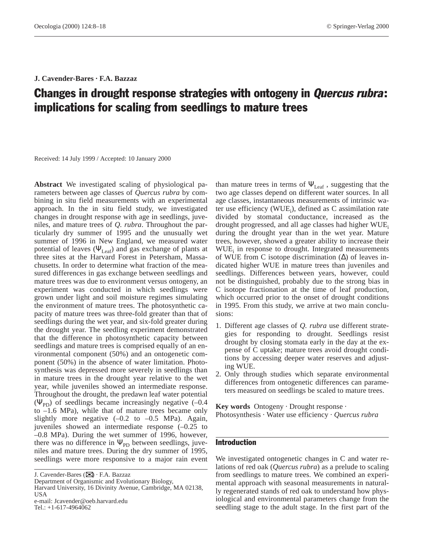# **J. Cavender-Bares · F.A. Bazzaz**

# Changes in drought response strategies with ontogeny in Quercus rubra: implications for scaling from seedlings to mature trees

Received: 14 July 1999 / Accepted: 10 January 2000

**Abstract** We investigated scaling of physiological parameters between age classes of *Quercus rubra* by combining in situ field measurements with an experimental approach. In the in situ field study, we investigated changes in drought response with age in seedlings, juveniles, and mature trees of *Q. rubra*. Throughout the particularly dry summer of 1995 and the unusually wet summer of 1996 in New England, we measured water potential of leaves ( $\Psi_{\text{Leaf}}$ ) and gas exchange of plants at three sites at the Harvard Forest in Petersham, Massachusetts. In order to determine what fraction of the measured differences in gas exchange between seedlings and mature trees was due to environment versus ontogeny, an experiment was conducted in which seedlings were grown under light and soil moisture regimes simulating the environment of mature trees. The photosynthetic capacity of mature trees was three-fold greater than that of seedlings during the wet year, and six-fold greater during the drought year. The seedling experiment demonstrated that the difference in photosynthetic capacity between seedlings and mature trees is comprised equally of an environmental component (50%) and an ontogenetic component (50%) in the absence of water limitation. Photosynthesis was depressed more severely in seedlings than in mature trees in the drought year relative to the wet year, while juveniles showed an intermediate response. Throughout the drought, the predawn leaf water potential ( $\Psi_{\rm PD}$ ) of seedlings became increasingly negative (-0.4 to –1.6 MPa), while that of mature trees became only slightly more negative  $(-0.2 \text{ to } -0.5 \text{ MPa})$ . Again, juveniles showed an intermediate response (–0.25 to –0.8 MPa). During the wet summer of 1996, however, there was no difference in  $\Psi_{\text{PD}}$  between seedlings, juveniles and mature trees. During the dry summer of 1995, seedlings were more responsive to a major rain event

Tel.:  $+1-617-4964062$ 

than mature trees in terms of  $\Psi_{\text{Leaf}}$ , suggesting that the two age classes depend on different water sources. In all age classes, instantaneous measurements of intrinsic water use efficiency (WUE<sub>i</sub>), defined as C assimilation rate divided by stomatal conductance, increased as the drought progressed, and all age classes had higher WUE. during the drought year than in the wet year. Mature trees, however, showed a greater ability to increase their WUE<sub>i</sub> in response to drought. Integrated measurements of WUE from C isotope discrimination  $(\Delta)$  of leaves indicated higher WUE in mature trees than juveniles and seedlings. Differences between years, however, could not be distinguished, probably due to the strong bias in C isotope fractionation at the time of leaf production, which occurred prior to the onset of drought conditions in 1995. From this study, we arrive at two main conclusions:

- 1. Different age classes of *Q. rubra* use different strategies for responding to drought. Seedlings resist drought by closing stomata early in the day at the expense of C uptake; mature trees avoid drought conditions by accessing deeper water reserves and adjusting WUE.
- 2. Only through studies which separate environmental differences from ontogenetic differences can parameters measured on seedlings be scaled to mature trees.

**Key words** Ontogeny · Drought response · Photosynthesis · Water use efficiency · *Quercus rubra*

# Introduction

We investigated ontogenetic changes in C and water relations of red oak (*Quercus rubra*) as a prelude to scaling from seedlings to mature trees. We combined an experimental approach with seasonal measurements in naturally regenerated stands of red oak to understand how physiological and environmental parameters change from the seedling stage to the adult stage. In the first part of the

J. Cavender-Bares (✉) · F.A. Bazzaz

Department of Organismic and Evolutionary Biology, Harvard University, 16 Divinity Avenue, Cambridge, MA 02138, USA e-mail: Jcavender@oeb.harvard.edu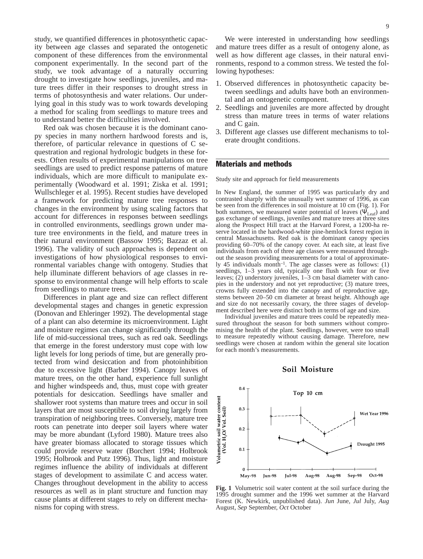study, we quantified differences in photosynthetic capacity between age classes and separated the ontogenetic component of these differences from the environmental component experimentally. In the second part of the study, we took advantage of a naturally occurring drought to investigate how seedlings, juveniles, and mature trees differ in their responses to drought stress in terms of photosynthesis and water relations. Our underlying goal in this study was to work towards developing a method for scaling from seedlings to mature trees and to understand better the difficulties involved.

Red oak was chosen because it is the dominant canopy species in many northern hardwood forests and is, therefore, of particular relevance in questions of C sequestration and regional hydrologic budgets in these forests. Often results of experimental manipulations on tree seedlings are used to predict response patterns of mature individuals, which are more difficult to manipulate experimentally (Woodward et al. 1991; Ziska et al. 1991; Wullschleger et al. 1995). Recent studies have developed a framework for predicting mature tree responses to changes in the environment by using scaling factors that account for differences in responses between seedlings in controlled environments, seedlings grown under mature tree environments in the field, and mature trees in their natural environment (Bassow 1995; Bazzaz et al. 1996). The validity of such approaches is dependent on investigations of how physiological responses to environmental variables change with ontogeny. Studies that help illuminate different behaviors of age classes in response to environmental change will help efforts to scale from seedlings to mature trees.

Differences in plant age and size can reflect different developmental stages and changes in genetic expression (Donovan and Ehleringer 1992). The developmental stage of a plant can also determine its microenvironment. Light and moisture regimes can change significantly through the life of mid-successional trees, such as red oak. Seedlings that emerge in the forest understory must cope with low light levels for long periods of time, but are generally protected from wind desiccation and from photoinhibition due to excessive light (Barber 1994). Canopy leaves of mature trees, on the other hand, experience full sunlight and higher windspeeds and, thus, must cope with greater potentials for desiccation. Seedlings have smaller and shallower root systems than mature trees and occur in soil layers that are most susceptible to soil drying largely from transpiration of neighboring trees. Conversely, mature tree roots can penetrate into deeper soil layers where water may be more abundant (Lyford 1980). Mature trees also have greater biomass allocated to storage tissues which could provide reserve water (Borchert 1994; Holbrook 1995; Holbrook and Putz 1996). Thus, light and moisture regimes influence the ability of individuals at different stages of development to assimilate C and access water. Changes throughout development in the ability to access resources as well as in plant structure and function may cause plants at different stages to rely on different mechanisms for coping with stress.

We were interested in understanding how seedlings and mature trees differ as a result of ontogeny alone, as well as how different age classes, in their natural environments, respond to a common stress. We tested the following hypotheses:

- 1. Observed differences in photosynthetic capacity between seedlings and adults have both an environmental and an ontogenetic component.
- 2. Seedlings and juveniles are more affected by drought stress than mature trees in terms of water relations and C gain.
- 3. Different age classes use different mechanisms to tolerate drought conditions.

# Materials and methods

Study site and approach for field measurements

In New England, the summer of 1995 was particularly dry and contrasted sharply with the unusually wet summer of 1996, as can be seen from the differences in soil moisture at 10 cm (Fig. 1). For both summers, we measured water potential of leaves ( $\Psi_{\text{Leaf}}$ ) and gas exchange of seedlings, juveniles and mature trees at three sites along the Prospect Hill tract at the Harvard Forest, a 1200-ha reserve located in the hardwood-white pine-hemlock forest region in central Massachusetts. Red oak is the dominant canopy species providing 60–70% of the canopy cover. At each site, at least five individuals from each of three age classes were measured throughout the season providing measurements for a total of approximately 45 individuals month–1. The age classes were as follows: (1) seedlings, 1–3 years old, typically one flush with four or five leaves; (2) understory juveniles, 1–3 cm basal diameter with canopies in the understory and not yet reproductive; (3) mature trees, crowns fully extended into the canopy and of reproductive age, stems between 20–50 cm diameter at breast height. Although age and size do not necessarily covary, the three stages of development described here were distinct both in terms of age and size.

Individual juveniles and mature trees could be repeatedly measured throughout the season for both summers without compromising the health of the plant. Seedlings, however, were too small to measure repeatedly without causing damage. Therefore, new seedlings were chosen at random within the general site location for each month's measurements.





**Fig. 1** Volumetric soil water content at the soil surface during the 1995 drought summer and the 1996 wet summer at the Harvard Forest (K. Newkirk, unpublished data). *Jun* June, *Jul* July, *Aug* August, *Sep* September, *Oct* October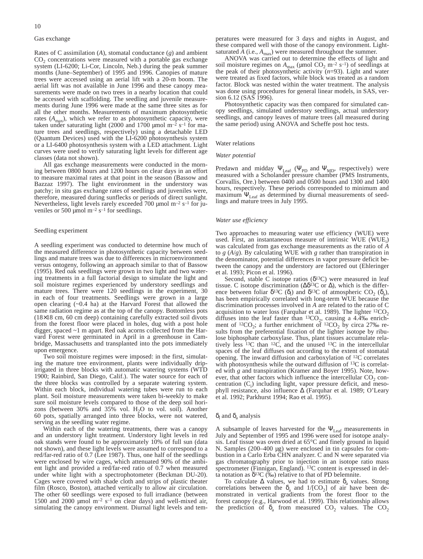#### Gas exchange

Rates of C assimilation (*A*), stomatal conductance (*g*) and ambient  $CO<sub>2</sub>$  concentrations were measured with a portable gas exchange system (LI-6200; Li-Cor, Lincoln, Neb.) during the peak summer months (June–September) of 1995 and 1996. Canopies of mature trees were accessed using an aerial lift with a 20-m boom. The aerial lift was not available in June 1996 and these canopy measurements were made on two trees in a nearby location that could be accessed with scaffolding. The seedling and juvenile measurements during June 1996 were made at the same three sites as for all the other months. Measurements of maximum photosynthetic rates  $(A<sub>max</sub>)$ , which we refer to as photosynthetic capacity, were taken under saturating light (2000 and 1700 µmol m<sup>-2</sup> s<sup>-1</sup> for mature trees and seedlings, respectively) using a detachable LED (Quantum Devices) used with the LI-6200 photosynthesis system or a LI-6400 photosynthesis system with a LED attachment. Light curves were used to verify saturating light levels for different age classes (data not shown).

All gas exchange measurements were conducted in the morning between 0800 hours and 1200 hours on clear days in an effort to measure maximal rates at that point in the season (Bassow and Bazzaz 1997). The light environment in the understory was patchy; in situ gas exchange rates of seedlings and juveniles were, therefore, measured during sunflecks or periods of direct sunlight. Nevertheless, light levels rarely exceeded 700  $\mu$ mol m<sup>-2</sup> s<sup>-1</sup> for juveniles or 500 µmol  $m^{-2}$  s<sup>-1</sup> for seedlings.

#### Seedling experiment

A seedling experiment was conducted to determine how much of the measured difference in photosynthetic capacity between seedlings and mature trees was due to differences in microenvironment versus ontogeny, following an approach similar to that of Bassow (1995). Red oak seedlings were grown in two light and two watering treatments in a full factorial design to simulate the light and soil moisture regimes experienced by understory seedlings and mature trees. There were 120 seedlings in the experiment, 30 in each of four treatments. Seedlings were grown in a large open clearing (~0.4 ha) at the Harvard Forest that allowed the same radiation regime as at the top of the canopy. Bottomless pots (18×18 cm, 60 cm deep) containing carefully extracted soil divots from the forest floor were placed in holes, dug with a post hole digger, spaced ~1 m apart. Red oak acorns collected from the Harvard Forest were germinated in April in a greenhouse in Cambridge, Massachusetts and transplanted into the pots immediately upon emergence.

Two soil moisture regimes were imposed: in the first, simulating the mature tree environment, plants were individually dripirrigated in three blocks with automatic watering systems (WTD 1900; Rainbird, San Diego, Calif.). The water source for each of the three blocks was controlled by a separate watering system. Within each block, individual watering tubes were run to each plant. Soil moisture measurements were taken bi-weekly to make sure soil moisture levels compared to those of the deep soil horizons (between  $30\%$  and  $35\%$  vol. H<sub>2</sub>O to vol. soil). Another 60 pots, spatially arranged into three blocks, were not watered, serving as the seedling water regime.

Within each of the watering treatments, there was a canopy and an understory light treatment. Understory light levels in red oak stands were found to be approximately 10% of full sun (data not shown), and these light levels were assumed to correspond to a red/far-red ratio of 0.7 (Lee 1987). Thus, one half of the seedlings were enclosed by wire cages, which attenuated 90% of the ambient light and provided a red/far-red ratio of 0.7 when measured under white light with a spectrophotometer (Beckman DU-20). Cages were covered with shade cloth and strips of plastic theater film (Rosco, Boston), attached vertically to allow air circulation. The other 60 seedlings were exposed to full irradiance (between 1500 and 2000 µmol  $m^{-2}$  s<sup>-1</sup> on clear days) and well-mixed air, simulating the canopy environment. Diurnal light levels and temperatures were measured for 3 days and nights in August, and these compared well with those of the canopy environment. Lightsaturated  $A$  (i.e.,  $A_{\text{max}}$ ) were measured throughout the summer.

ANOVA was carried out to determine the effects of light and soil moisture regimes on  $A_{\text{max}}$  (µmol CO<sub>2</sub> m<sup>-2</sup> s<sup>-1</sup>) of seedlings at the peak of their photosynthetic activity  $(n=93)$ . Light and water were treated as fixed factors, while block was treated as a random factor. Block was nested within the water treatment. The analysis was done using procedures for general linear models, in SAS, version 6.12 (SAS 1996).

Photosynthetic capacity was then compared for simulated canopy seedlings, simulated understory seedlings, actual understory seedlings, and canopy leaves of mature trees (all measured during the same period) using ANOVA and Scheffe post hoc tests.

#### Water relations

#### *Water potential*

Predawn and midday  $\Psi_{\text{Leaf}}$  ( $\Psi_{\text{PD}}$  and  $\Psi_{\text{MD}}$ , respectively) were measured with a Scholander pressure chamber (PMS Instruments, Corvallis, Ore.) between 0400 and 0500 hours and 1300 and 1400 hours, respectively. These periods corresponded to minimum and maximum  $\Psi_{\text{Leaf}}$  as determined by diurnal measurements of seedlings and mature trees in July 1995.

#### *Water use efficiency*

Two approaches to measuring water use efficiency (WUE) were used. First, an instantaneous measure of intrinsic WUE (WUE<sub>i</sub>) was calculated from gas exchange measurements as the ratio of *A* to *g* (*A*/*g*). By calculating WUE with *g* rather than transpiration in the denominator, potential differences in vapor pressure deficit between the canopy and the understory are factored out (Ehleringer et al. 1993; Picon et al. 1996).

Second, stable C isotope ratios ( $\delta^{13}$ C) were measured in leaf tissue. C isotope discrimination ( $\Delta \delta^{13}$ C or  $\Delta$ ), which is the difference between foliar  $\delta^{13}C$  ( $\delta_1$ ) and  $\delta^{13}C$  of atmospheric CO<sub>2</sub> ( $\delta_2$ ), has been empirically correlated with long-term WUE because the discrimination processes involved in *A* are related to the ratio of C acquisition to water loss (Farquhar et al. 1989). The lighter  ${}^{12}CO_2$ diffuses into the leaf faster than  ${}^{13}CO_2$ , causing a 4.4‰ enrichment of <sup>12</sup>CO<sub>2</sub>; a further enrichment of <sup>12</sup>CO<sub>2</sub> by circa 27‰ results from the preferential fixation of the lighter isotope by ribulose biphosphate carboxylase. Thus, plant tissues accumulate relatively less  $^{13}C$  than  $^{12}C$ , and the unused  $^{13}C$  in the intercellular spaces of the leaf diffuses out according to the extent of stomatal opening. The inward diffusion and carboxylation of 12C correlates with photosynthesis while the outward diffusion of <sup>13</sup>C is correlated with *g* and transpiration (Kramer and Boyer 1995). Note, however, that other factors which influence the intercellular  $CO<sub>2</sub>$  concentration  $(C_i)$  including light, vapor pressure deficit, and mesophyll resistance, also influence ∆ (Farquhar et al. 1989; O'Leary et al. 1992; Parkhurst 1994; Rao et al. 1995).

#### $\delta_1$  and  $\delta_2$  analysis

A subsample of leaves harvested for the  $\Psi_{\rm{Leaf}}$  measurements in July and September of 1995 and 1996 were used for isotope analysis. Leaf tissue was oven dried at 65°C and finely ground in liquid N. Samples (200–400 µg) were enclosed in tin capsules for combustion in a Carlo Erba CHN analyzer. C and N were separated via gas chromatography prior to injection in an isotope ratio mass spectrometer (Finnigan, England). <sup>13</sup>C content is expressed in delta notation as  $\delta^{13}C$  (%) relative to that of PD belemnite.

To calculate  $\Delta$  values, we had to estimate  $\delta_a$  values. Strong correlations between the  $\delta_a$  and  $1/[CO_2]$  of air have been demonstrated in vertical gradients from the forest floor to the forest canopy (e.g., Harwood et al. 1999). This relationship allows the prediction of  $\delta_a$  from measured CO<sub>2</sub> values. The CO<sub>2</sub>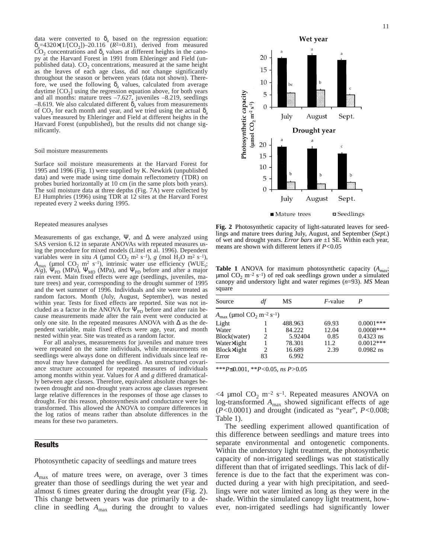data were converted to  $\delta_a$  based on the regression equation:  $\delta_a = 4320 \times (1/[CO_2]) - 20.116$  ( $R^2 = 0.81$ ), derived from measured  $CO<sub>2</sub>$  concentrations and  $\delta<sub>a</sub>$  values at different heights in the canopy at the Harvard Forest in 1991 from Ehleringer and Field (unpublished data).  $CO<sub>2</sub>$  concentrations, measured at the same height as the leaves of each age class, did not change significantly throughout the season or between years (data not shown). Therefore, we used the following  $\delta_a$  values, calculated from average daytime  $[CO<sub>2</sub>]$  using the regression equation above, for both years and all months: mature trees –7.627, juveniles –8.219, seedlings –8.619. We also calculated different  $\delta_a$  values from measurements of CO<sub>2</sub> for each month and year, and we tried using the actual  $\delta$ <sub>s</sub> values measured by Ehleringer and Field at different heights in the Harvard Forest (unpublished), but the results did not change significantly.

#### Soil moisture measurements

Surface soil moisture measurements at the Harvard Forest for 1995 and 1996 (Fig. 1) were supplied by K. Newkirk (unpublished data) and were made using time domain reflectometry (TDR) on probes buried horizontally at 10 cm (in the same plots both years). The soil moisture data at three depths (Fig. 7A) were collected by EJ Humphries (1996) using TDR at 12 sites at the Harvard Forest repeated every 2 weeks during 1995.

#### Repeated measures analyses

Measurements of gas exchange, Ψ, and  $\Delta$  were analyzed using SAS version 6.12 in separate ANOVAs with repeated measures using the procedure for mixed models (Littel et al. 1996). Dependent variables were in situ *A* (µmol CO<sub>2</sub> m<sup>2</sup> s<sup>-1</sup>), *g* (mol H<sub>2</sub>O m<sup>2</sup> s<sup>-1</sup>),  $A_{\text{max}}$  (µmol CO<sub>2</sub> m<sup>2</sup> s<sup>-1</sup>), intrinsic water use efficiency (WUE<sub>i</sub>;  $A/g$ ), Ψ<sub>PD</sub> (MPa), Ψ<sub>MD</sub> (MPa), and Ψ<sub>PD</sub> before and after a major rain event. Main fixed effects were age (seedlings, juveniles, mature trees) and year, corresponding to the drought summer of 1995 and the wet summer of 1996. Individuals and site were treated as random factors. Month (July, August, September), was nested within year. Tests for fixed effects are reported. Site was not included as a factor in the ANOVA for  $\Psi_{\text{PD}}$  before and after rain because measurements made after the rain event were conducted at only one site. In the repeated measures ANOVA with ∆ as the dependent variable, main fixed effects were age, year, and month nested within year. Site was treated as a random factor.

For all analyses, measurements for juveniles and mature trees were repeated on the same individuals, while measurements on seedlings were always done on different individuals since leaf removal may have damaged the seedlings. An unstructured covariance structure accounted for repeated measures of individuals among months within year. Values for *A* and *g* differed dramatically between age classes. Therefore, equivalent absolute changes between drought and non-drought years across age classes represent large relative differences in the responses of those age classes to drought. For this reason, photosynthesis and conductance were log transformed. This allowed the ANOVA to compare differences in the log ratios of means rather than absolute differences in the means for these two parameters.

#### Results

Photosynthetic capacity of seedlings and mature trees

*A*max of mature trees were, on average, over 3 times greater than those of seedlings during the wet year and almost 6 times greater during the drought year (Fig. 2). This change between years was due primarily to a decline in seedling  $A_{\text{max}}$  during the drought to values



**Fig. 2** Photosynthetic capacity of light-saturated leaves for seedlings and mature trees during July, August, and September (*Sept*.) of wet and drought years. *Error bars* are ±1 SE. Within each year, means are shown with different letters if *P<*0.05

**Table 1** ANOVA for maximum photosynthetic capacity (*Amax*;  $\mu$ mol CO<sub>2</sub> m<sup>-2</sup> s<sup>-1</sup>) of red oak seedlings grown under a simulated canopy and understory light and water regimes (*n*=93). *MS* Mean square

| Source                                                                   | df | МS      | $F$ -value |              |  |  |  |
|--------------------------------------------------------------------------|----|---------|------------|--------------|--|--|--|
| $A_{\text{max}}$ (µmol CO <sub>2</sub> m <sup>-2</sup> s <sup>-1</sup> ) |    |         |            |              |  |  |  |
| Light                                                                    |    | 488.963 | 69.93      | $0.0001$ *** |  |  |  |
| Water                                                                    |    | 84.222  | 12.04      | $0.0008***$  |  |  |  |
| Block(water)                                                             | 2  | 5.92404 | 0.85       | $0.4323$ ns  |  |  |  |
| Water×light                                                              |    | 78.301  | 11.2       | $0.0012***$  |  |  |  |
| Block×light                                                              | 2  | 16.689  | 2.39       | $0.0982$ ns  |  |  |  |
| Error                                                                    | 83 | 6.992   |            |              |  |  |  |

\*\*\**P*≤0.001, \*\**P<*0.05, *ns P>*0.05

 $<$ 4 µmol CO<sub>2</sub> m<sup>-2</sup> s<sup>-1</sup>. Repeated measures ANOVA on log-transformed *A*max showed significant effects of age (*P<*0.0001) and drought (indicated as "year", *P<*0.008; Table 1).

The seedling experiment allowed quantification of this difference between seedlings and mature trees into separate environmental and ontogenetic components. Within the understory light treatment, the photosynthetic capacity of non-irrigated seedlings was not statistically different than that of irrigated seedlings. This lack of difference is due to the fact that the experiment was conducted during a year with high precipitation, and seedlings were not water limited as long as they were in the shade. Within the simulated canopy light treatment, however, non-irrigated seedlings had significantly lower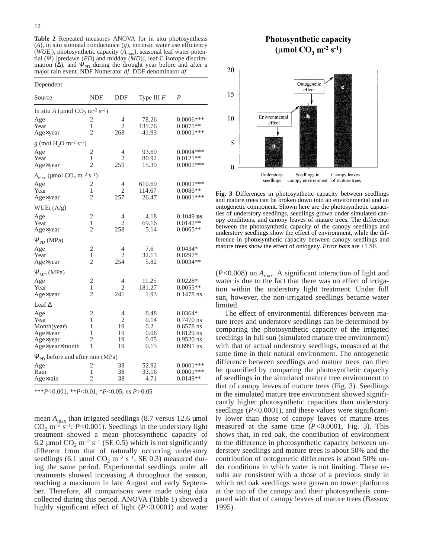**Table 2** Repeated measures ANOVA for in situ photosynthesis (*A*), in situ stomatal conductance (*g*), intrinsic water use efficiency (*WUE<sub>i</sub>*), photosynthetic capacity (*A*<sub>max</sub>), seasonal leaf water potential (Ψ) [predawn (*PD*) and midday (*MD*)], leaf C isotope discrimination ( $\tilde{\Delta}$ ), and  $\Psi_{\text{PD}}$  during the drought year before and after a major rain event. NDF Numerator *df*, DDF denominator *df*

| Dependent                                                            |                                                      |                                |                                             |                                                                                      |  |  |
|----------------------------------------------------------------------|------------------------------------------------------|--------------------------------|---------------------------------------------|--------------------------------------------------------------------------------------|--|--|
| Source                                                               | <b>NDF</b>                                           | DDF                            | Type III $F$                                | $\overline{P}$                                                                       |  |  |
| In situ A (µmol $CO_2$ m <sup>-2</sup> s <sup>-1</sup> )             |                                                      |                                |                                             |                                                                                      |  |  |
| Age<br>Year<br>Age×year                                              | $\overline{2}$<br>1<br>$\overline{c}$                | 4<br>$\overline{c}$<br>268     | 78.26<br>131.76<br>41.93                    | $0.0006***$<br>$0.0075**$<br>$0.0001$ ***                                            |  |  |
| $g \pmod{H_2O m^{-2} s^{-1}}$                                        |                                                      |                                |                                             |                                                                                      |  |  |
| Age<br>Year<br>Age×year                                              | 2<br>$\mathbf{1}$<br>$\overline{2}$                  | 4<br>2<br>259                  | 93.69<br>80.92<br>15.39                     | $0.0004***$<br>$0.0121**$<br>$0.0001$ ***                                            |  |  |
| $A_{\text{max}}$ (µmol $CO_2$ m <sup>-2</sup> s <sup>-1</sup> )      |                                                      |                                |                                             |                                                                                      |  |  |
| Age<br>Year<br>Age×year                                              | $\overline{c}$<br>$\mathbf{1}$<br>$\overline{2}$     | 4<br>$\overline{c}$<br>257     | 610.69<br>114.67<br>26.47                   | $0.0001***$<br>$0.0086**$<br>$0.0001$ ***                                            |  |  |
| WUEi (A/g)                                                           |                                                      |                                |                                             |                                                                                      |  |  |
| Age<br>Year<br>Age×year                                              | $\mathfrak{2}$<br>1<br>$\overline{c}$                | 4<br>$\overline{c}$<br>258     | 4.18<br>69.16<br>5.14                       | $0.1049$ ns<br>$0.0142**$<br>$0.0065**$                                              |  |  |
| $\Psi_{\rm PD}$ (MPa)                                                |                                                      |                                |                                             |                                                                                      |  |  |
| Age<br>Year<br>Age×year                                              | $\overline{2}$<br>$\mathbf{1}$<br>2                  | 4<br>$\overline{c}$<br>254     | 7.6<br>32.13<br>5.82                        | $0.0434*$<br>$0.0297*$<br>$0.0034**$                                                 |  |  |
| $\Psi_{MD}$ (MPa)                                                    |                                                      |                                |                                             |                                                                                      |  |  |
| Age<br>Year<br>Age×year                                              | $\overline{c}$<br>1<br>$\overline{c}$                | 4<br>2<br>241                  | 11.25<br>181.27<br>1.93                     | $0.0228*$<br>$0.0055**$<br>$0.1478$ ns                                               |  |  |
| Leaf $\Delta$                                                        |                                                      |                                |                                             |                                                                                      |  |  |
| Age<br>Year<br>Month(year)<br>Age×year<br>Age×year<br>Age×year×month | $\overline{2}$<br>1<br>1<br>1<br>$\overline{c}$<br>1 | 4<br>2<br>19<br>19<br>19<br>19 | 8.48<br>0.14<br>0.2<br>0.06<br>0.05<br>0.15 | $0.0364*$<br>$0.7470$ ns<br>$0.6578$ ns<br>$0.8129$ ns<br>$0.9520$ ns<br>$0.6991$ ns |  |  |
| $\Psi_{\rm PD}$ before and after rain (MPa)                          |                                                      |                                |                                             |                                                                                      |  |  |
| Age<br>Rain<br>Age×rain                                              | 2<br>$\mathbf{1}$<br>$\overline{2}$                  | 38<br>38<br>38                 | 52.92<br>33.16<br>4.71                      | $0.0001$ ***<br>$0.0001$ ***<br>$0.0149**$                                           |  |  |

\*\*\**P<*0.001, \*\**P<*0.01, \**P<*0.05, *ns P>*0.05

mean  $A_{\text{max}}$  than irrigated seedlings (8.7 versus 12.6 µmol CO<sub>2</sub> m<sup> $-2$ </sup> s<sup> $-1$ </sup>; *P*<0.001). Seedlings in the understory light treatment showed a mean photosynthetic capacity of 6.2 µmol  $CO_2$  m<sup>-2</sup> s<sup>-1</sup> (SE 0.5) which is not significantly different from that of naturally occurring understory seedlings (6.1 µmol  $CO_2$  m<sup>-2</sup> s<sup>-1</sup>, SE 0.3) measured during the same period. Experimental seedlings under all treatments showed increasing *A* throughout the season, reaching a maximum in late August and early September. Therefore, all comparisons were made using data collected during this period. ANOVA (Table 1) showed a highly significant effect of light (*P<*0.0001) and water

# **Photosynthetic capacity** (µmol  $CO<sub>2</sub>$  m<sup>-2</sup> s<sup>-1</sup>)





**Fig. 3** Differences in photosynthetic capacity between seedlings and mature trees can be broken down into an environmental and an ontogenetic component. Shown here are the photosynthetic capacities of understory seedlings, seedlings grown under simulated canopy conditions, and canopy leaves of mature trees. The difference between the photosynthetic capacity of the canopy seedlings and understory seedlings show the effect of environment, while the difference in photosynthetic capacity between canopy seedlings and mature trees show the effect of ontogeny. *Error bars* are ±1 SE

(*P<*0.008) on *A*max. A significant interaction of light and water is due to the fact that there was no effect of irrigation within the understory light treatment. Under full sun, however, the non-irrigated seedlings became water limited.

The effect of environmental differences between mature trees and understory seedlings can be determined by comparing the photosynthetic capacity of the irrigated seedlings in full sun (simulated mature tree environment) with that of actual understory seedlings, measured at the same time in their natural environment. The ontogenetic difference between seedlings and mature trees can then be quantified by comparing the photosynthetic capacity of seedlings in the simulated mature tree environment to that of canopy leaves of mature trees (Fig. 3). Seedlings in the simulated mature tree environment showed significantly higher photosynthetic capacities than understory seedlings (*P<*0.0001), and these values were significantly lower than those of canopy leaves of mature trees measured at the same time (*P<*0.0001, Fig. 3). This shows that, in red oak, the contribution of environment to the difference in photosynthetic capacity between understory seedlings and mature trees is about 50% and the contribution of ontogenetic differences is about 50% under conditions in which water is not limiting. These results are consistent with a those of a previous study in which red oak seedlings were grown on tower platforms at the top of the canopy and their photosynthesis compared with that of canopy leaves of mature trees (Bassow 1995).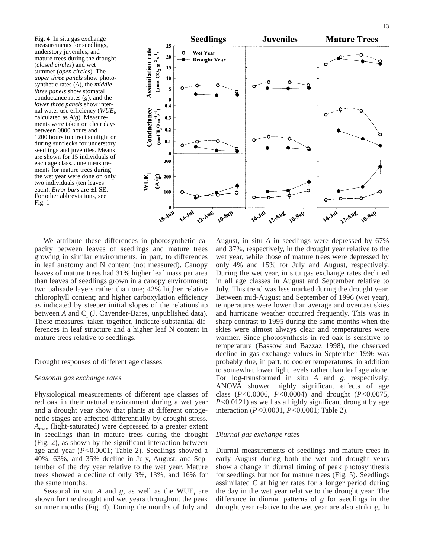**Fig. 4** In situ gas exchange measurements for seedlings, understory juveniles, and mature trees during the drought (*closed circles*) and wet summer (*open circles*). The *upper three panels* show photosynthetic rates (*A*), the *middle three panels* show stomatal conductance rates (*g*), and the *lower three panels* show internal water use efficiency (*WUEi* , calculated as *A*/*g*). Measurements were taken on clear days between 0800 hours and 1200 hours in direct sunlight or during sunflecks for understory seedlings and juveniles. Means are shown for 15 individuals of each age class. June measurements for mature trees during the wet year were done on only two individuals (ten leaves each). *Error bars* are ±1 SE. For other abbreviations, see Fig. 1



We attribute these differences in photosynthetic capacity between leaves of seedlings and mature trees growing in similar environments, in part, to differences in leaf anatomy and N content (not measured). Canopy leaves of mature trees had 31% higher leaf mass per area than leaves of seedlings grown in a canopy environment; two palisade layers rather than one; 42% higher relative chlorophyll content; and higher carboxylation efficiency as indicated by steeper initial slopes of the relationship between  $A$  and  $C_i$  (J. Cavender-Bares, unpublished data). These measures, taken together, indicate substantial differences in leaf structure and a higher leaf N content in mature trees relative to seedlings.

#### Drought responses of different age classes

### *Seasonal gas exchange rates*

Physiological measurements of different age classes of red oak in their natural environment during a wet year and a drought year show that plants at different ontogenetic stages are affected differentially by drought stress. *A*max (light-saturated) were depressed to a greater extent in seedlings than in mature trees during the drought (Fig. 2), as shown by the significant interaction between age and year (*P<*0.0001; Table 2). Seedlings showed a 40%, 63%, and 35% decline in July, August, and September of the dry year relative to the wet year. Mature trees showed a decline of only 3%, 13%, and 16% for the same months.

Seasonal in situ  $A$  and  $g$ , as well as the WUE<sub>i</sub> are shown for the drought and wet years throughout the peak summer months (Fig. 4). During the months of July and

August, in situ *A* in seedlings were depressed by 67% and 37%, respectively, in the drought year relative to the wet year, while those of mature trees were depressed by only 4% and 15% for July and August, respectively. During the wet year, in situ gas exchange rates declined in all age classes in August and September relative to July. This trend was less marked during the drought year. Between mid-August and September of 1996 (wet year), temperatures were lower than average and overcast skies and hurricane weather occurred frequently. This was in sharp contrast to 1995 during the same months when the skies were almost always clear and temperatures were warmer. Since photosynthesis in red oak is sensitive to temperature (Bassow and Bazzaz 1998), the observed decline in gas exchange values in September 1996 was probably due, in part, to cooler temperatures, in addition to somewhat lower light levels rather than leaf age alone. For log-transformed in situ *A* and *g*, respectively, ANOVA showed highly significant effects of age class (*P<*0.0006, *P<*0.0004) and drought (*P<*0.0075, *P<*0.0121) as well as a highly significant drought by age interaction (*P<*0.0001, *P<*0.0001; Table 2).

## *Diurnal gas exchange rates*

Diurnal measurements of seedlings and mature trees in early August during both the wet and drought years show a change in diurnal timing of peak photosynthesis for seedlings but not for mature trees (Fig. 5). Seedlings assimilated C at higher rates for a longer period during the day in the wet year relative to the drought year. The difference in diurnal patterns of *g* for seedlings in the drought year relative to the wet year are also striking. In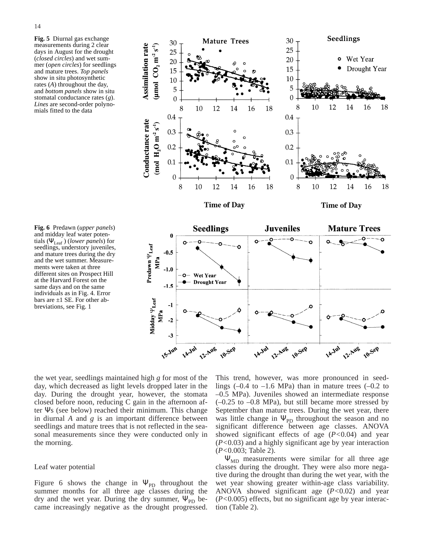**Fig. 5** Diurnal gas exchange measurements during 2 clear days in August for the drought (*closed circles*) and wet summer (*open circles*) for seedlings and mature trees. *Top panels* show in situ photosynthetic rates (*A*) throughout the day, and *bottom panels* show in situ stomatal conductance rates (*g*). *Lines* are second-order polynomials fitted to the data





the wet year, seedlings maintained high *g* for most of the day, which decreased as light levels dropped later in the day. During the drought year, however, the stomata closed before noon, reducing C gain in the afternoon after Ψs (see below) reached their minimum. This change in diurnal *A* and *g* is an important difference between seedlings and mature trees that is not reflected in the seasonal measurements since they were conducted only in the morning.

## Leaf water potential

Figure 6 shows the change in  $\Psi_{\text{PD}}$  throughout the summer months for all three age classes during the dry and the wet year. During the dry summer,  $\Psi_{\text{PD}}$  became increasingly negative as the drought progressed.

This trend, however, was more pronounced in seedlings  $(-0.4 \text{ to } -1.6 \text{ MPa})$  than in mature trees  $(-0.2 \text{ to } -1.6 \text{ MPa})$ –0.5 MPa). Juveniles showed an intermediate response  $(-0.25 \text{ to } -0.8 \text{ MPa})$ , but still became more stressed by September than mature trees. During the wet year, there was little change in  $\Psi_{\text{PD}}$  throughout the season and no significant difference between age classes. ANOVA showed significant effects of age (*P<*0.04) and year (*P<*0.03) and a highly significant age by year interaction (*P<*0.003; Table 2).

 $\Psi_{MD}$  measurements were similar for all three age classes during the drought. They were also more negative during the drought than during the wet year, with the wet year showing greater within-age class variability. ANOVA showed significant age (*P<*0.02) and year (*P<*0.005) effects, but no significant age by year interaction (Table 2).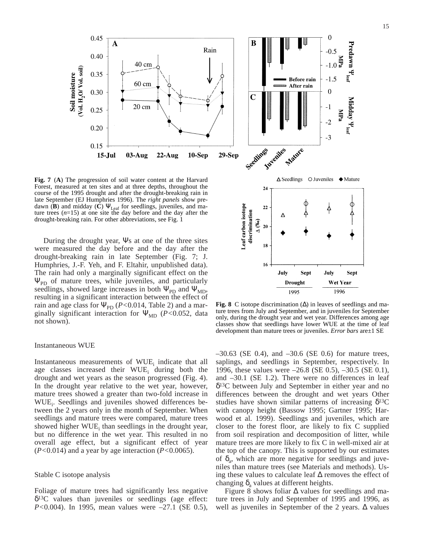

**Fig. 7** (**A**) The progression of soil water content at the Harvard Forest, measured at ten sites and at three depths, throughout the course of the 1995 drought and after the drought-breaking rain in late September (EJ Humphries 1996). The *right panels* show predawn (**B**) and midday (**C**)  $\Psi$ <sub>Leaf</sub> for seedlings, juveniles, and mature trees (*n*=15) at one site the day before and the day after the drought-breaking rain. For other abbreviations, see Fig. 1

During the drought year, Ψs at one of the three sites were measured the day before and the day after the drought-breaking rain in late September (Fig. 7; J. Humphries, J.-F. Yeh, and F. Eltahir, unpublished data). The rain had only a marginally significant effect on the  $\Psi_{\text{PD}}$  of mature trees, while juveniles, and particularly seedlings, showed large increases in both  $\Psi_{\text{PD}}$  and  $\Psi_{\text{MD}}$ , resulting in a significant interaction between the effect of rain and age class for  $\Psi_{\text{PD}}$  (*P*<0.014, Table 2) and a marginally significant interaction for Ψ<sub>MD</sub> (*P*<0.052, data not shown).

#### Instantaneous WUE

Instantaneous measurements of  $WUE<sub>i</sub>$  indicate that all age classes increased their  $WUE_i$  during both the drought and wet years as the season progressed (Fig. 4). In the drought year relative to the wet year, however, mature trees showed a greater than two-fold increase in WUE<sub>i</sub>. Seedlings and juveniles showed differences between the 2 years only in the month of September. When seedlings and mature trees were compared, mature trees showed higher  $WUE_i$  than seedlings in the drought year, but no difference in the wet year. This resulted in no overall age effect, but a significant effect of year (*P<*0.014) and a year by age interaction (*P<*0.0065).

# Stable C isotope analysis

Foliage of mature trees had significantly less negative  $\delta^{13}$ C values than juveniles or seedlings (age effect: *P*<0.004). In 1995, mean values were –27.1 (SE 0.5),



**Fig. 8** C isotope discrimination (∆) in leaves of seedlings and mature trees from July and September, and in juveniles for September only, during the drought year and wet year. Differences among age classes show that seedlings have lower WUE at the time of leaf development than mature trees or juveniles. *Error bars* are±1 SE

 $-30.63$  (SE 0.4), and  $-30.6$  (SE 0.6) for mature trees, saplings, and seedlings in September, respectively. In 1996, these values were –26.8 (SE 0.5), –30.5 (SE 0.1), and –30.1 (SE 1.2). There were no differences in leaf δ13C between July and September in either year and no differences between the drought and wet years Other studies have shown similar patterns of increasing  $\delta^{13}C$ with canopy height (Bassow 1995; Gartner 1995; Harwood et al. 1999). Seedlings and juveniles, which are closer to the forest floor, are likely to fix C supplied from soil respiration and decomposition of litter, while mature trees are more likely to fix C in well-mixed air at the top of the canopy. This is supported by our estimates of  $\delta_a$ , which are more negative for seedlings and juveniles than mature trees (see Materials and methods). Using these values to calculate leaf ∆ removes the effect of changing  $\delta$ <sub>a</sub> values at different heights.

Figure 8 shows foliar ∆ values for seedlings and mature trees in July and September of 1995 and 1996, as well as juveniles in September of the 2 years. ∆ values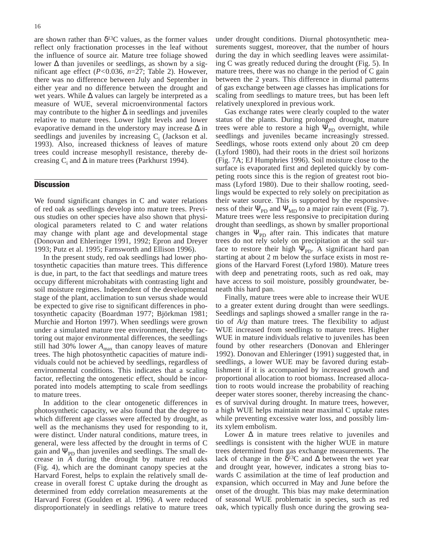are shown rather than  $\delta^{13}$ C values, as the former values reflect only fractionation processes in the leaf without the influence of source air. Mature tree foliage showed lower ∆ than juveniles or seedlings, as shown by a significant age effect (*P<*0.036, *n*=27; Table 2). However, there was no difference between July and September in either year and no difference between the drought and wet years. While ∆ values can largely be interpreted as a measure of WUE, several microenvironmental factors may contribute to the higher  $\Delta$  in seedlings and juveniles relative to mature trees. Lower light levels and lower evaporative demand in the understory may increase  $\Delta$  in seedlings and juveniles by increasing  $C_i$  (Jackson et al. 1993). Also, increased thickness of leaves of mature trees could increase mesophyll resistance, thereby decreasing C<sub>i</sub> and  $\Delta$  in mature trees (Parkhurst 1994).

# **Discussion**

We found significant changes in C and water relations of red oak as seedlings develop into mature trees. Previous studies on other species have also shown that physiological parameters related to C and water relations may change with plant age and developmental stage (Donovan and Ehleringer 1991, 1992; Epron and Dreyer 1993; Putz et al. 1995; Farnsworth and Ellison 1996).

In the present study, red oak seedlings had lower photosynthetic capacities than mature trees. This difference is due, in part, to the fact that seedlings and mature trees occupy different microhabitats with contrasting light and soil moisture regimes. Independent of the developmental stage of the plant, acclimation to sun versus shade would be expected to give rise to significant differences in photosynthetic capacity (Boardman 1977; Björkman 1981; Murchie and Horton 1997). When seedlings were grown under a simulated mature tree environment, thereby factoring out major environmental differences, the seedlings still had 30% lower  $A_{\text{max}}$  than canopy leaves of mature trees. The high photosynthetic capacities of mature individuals could not be achieved by seedlings, regardless of environmental conditions. This indicates that a scaling factor, reflecting the ontogenetic effect, should be incorporated into models attempting to scale from seedlings to mature trees.

In addition to the clear ontogenetic differences in photosynthetic capacity, we also found that the degree to which different age classes were affected by drought, as well as the mechanisms they used for responding to it, were distinct. Under natural conditions, mature trees, in general, were less affected by the drought in terms of C gain and  $\Psi_{\text{PD}}$  than juveniles and seedlings. The small decrease in *A* during the drought by mature red oaks (Fig. 4), which are the dominant canopy species at the Harvard Forest, helps to explain the relatively small decrease in overall forest C uptake during the drought as determined from eddy correlation measurements at the Harvard Forest (Goulden et al. 1996). *A* were reduced disproportionately in seedlings relative to mature trees under drought conditions. Diurnal photosynthetic measurements suggest, moreover, that the number of hours during the day in which seedling leaves were assimilating C was greatly reduced during the drought (Fig. 5). In mature trees, there was no change in the period of C gain between the 2 years. This difference in diurnal patterns of gas exchange between age classes has implications for scaling from seedlings to mature trees, but has been left relatively unexplored in previous work.

Gas exchange rates were clearly coupled to the water status of the plants. During prolonged drought, mature trees were able to restore a high  $\Psi_{\text{PD}}$  overnight, while seedlings and juveniles became increasingly stressed. Seedlings, whose roots extend only about 20 cm deep (Lyford 1980), had their roots in the driest soil horizons (Fig. 7A; EJ Humphries 1996). Soil moisture close to the surface is evaporated first and depleted quickly by competing roots since this is the region of greatest root biomass (Lyford 1980). Due to their shallow rooting, seedlings would be expected to rely solely on precipitation as their water source. This is supported by the responsiveness of their  $\Psi_{\text{PD}}$  and  $\Psi_{\text{MD}}$  to a major rain event (Fig. 7). Mature trees were less responsive to precipitation during drought than seedlings, as shown by smaller proportional changes in  $\Psi_{\text{PD}}$  after rain. This indicates that mature trees do not rely solely on precipitation at the soil surface to restore their high  $\Psi_{\text{PD}}$ . A significant hard pan starting at about 2 m below the surface exists in most regions of the Harvard Forest (Lyford 1980). Mature trees with deep and penetrating roots, such as red oak, may have access to soil moisture, possibly groundwater, beneath this hard pan.

Finally, mature trees were able to increase their WUE to a greater extent during drought than were seedlings. Seedlings and saplings showed a smaller range in the ratio of *A*/*g* than mature trees. The flexibility to adjust WUE increased from seedlings to mature trees. Higher WUE in mature individuals relative to juveniles has been found by other researchers (Donovan and Ehleringer 1992). Donovan and Ehleringer (1991) suggested that, in seedlings, a lower WUE may be favored during establishment if it is accompanied by increased growth and proportional allocation to root biomass. Increased allocation to roots would increase the probability of reaching deeper water stores sooner, thereby increasing the chances of survival during drought. In mature trees, however, a high WUE helps maintain near maximal C uptake rates while preventing excessive water loss, and possibly limits xylem embolism.

Lower  $\Delta$  in mature trees relative to juveniles and seedlings is consistent with the higher WUE in mature trees determined from gas exchange measurements. The lack of change in the  $\delta^{13}$ C and  $\Delta$  between the wet year and drought year, however, indicates a strong bias towards C assimilation at the time of leaf production and expansion, which occurred in May and June before the onset of the drought. This bias may make determination of seasonal WUE problematic in species, such as red oak, which typically flush once during the growing sea-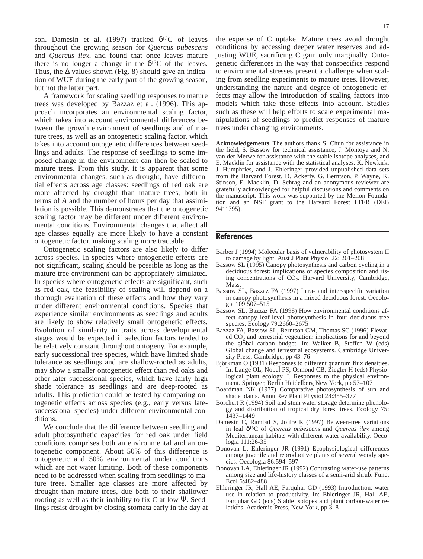son. Damesin et al. (1997) tracked  $\delta^{13}$ C of leaves throughout the growing season for *Quercus pubescens* and *Quercus ilex*, and found that once leaves mature there is no longer a change in the  $\delta^{13}$ C of the leaves. Thus, the  $\Delta$  values shown (Fig. 8) should give an indication of WUE during the early part of the growing season, but not the latter part.

A framework for scaling seedling responses to mature trees was developed by Bazzaz et al. (1996). This approach incorporates an environmental scaling factor, which takes into account environmental differences between the growth environment of seedlings and of mature trees, as well as an ontogenetic scaling factor, which takes into account ontogenetic differences between seedlings and adults. The response of seedlings to some imposed change in the environment can then be scaled to mature trees. From this study, it is apparent that some environmental changes, such as drought, have differential effects across age classes: seedlings of red oak are more affected by drought than mature trees, both in terms of *A* and the number of hours per day that assimilation is possible. This demonstrates that the ontogenetic scaling factor may be different under different environmental conditions. Environmental changes that affect all age classes equally are more likely to have a constant ontogenetic factor, making scaling more tractable.

Ontogenetic scaling factors are also likely to differ across species. In species where ontogenetic effects are not significant, scaling should be possible as long as the mature tree environment can be appropriately simulated. In species where ontogenetic effects are significant, such as red oak, the feasibility of scaling will depend on a thorough evaluation of these effects and how they vary under different environmental conditions. Species that experience similar environments as seedlings and adults are likely to show relatively small ontogenetic effects. Evolution of similarity in traits across developmental stages would be expected if selection factors tended to be relatively constant throughout ontogeny. For example, early successional tree species, which have limited shade tolerance as seedlings and are shallow-rooted as adults, may show a smaller ontogenetic effect than red oaks and other later successional species, which have fairly high shade tolerance as seedlings and are deep-rooted as adults. This prediction could be tested by comparing ontogenetic effects across species (e.g., early versus latesuccessional species) under different environmental conditions.

We conclude that the difference between seedling and adult photosynthetic capacities for red oak under field conditions comprises both an environmental and an ontogenetic component. About 50% of this difference is ontogenetic and 50% environmental under conditions which are not water limiting. Both of these components need to be addressed when scaling from seedlings to mature trees. Smaller age classes are more affected by drought than mature trees, due both to their shallower rooting as well as their inability to fix C at low Ψ. Seedlings resist drought by closing stomata early in the day at the expense of C uptake. Mature trees avoid drought conditions by accessing deeper water reserves and adjusting WUE, sacrificing C gain only marginally. Ontogenetic differences in the way that conspecifics respond to environmental stresses present a challenge when scaling from seedling experiments to mature trees. However, understanding the nature and degree of ontogenetic effects may allow the introduction of scaling factors into models which take these effects into account. Studies such as these will help efforts to scale experimental manipulations of seedlings to predict responses of mature trees under changing environments.

**Acknowledgements** The authors thank S. Chun for assistance in the field, S. Bassow for technical assistance, J. Montoya and N. van der Merwe for assistance with the stable isotope analyses, and E. Macklin for assistance with the statistical analyses. K. Newkirk, J. Humphries, and J. Ehleringer provided unpublished data sets from the Harvard Forest. D. Ackerly, G. Berntson, P. Wayne, K. Stinson, E. Macklin, D. Schrag and an anonymous reviewer are gratefully acknowledged for helpful discussions and comments on the manuscript. This work was supported by the Mellon Foundation and an NSF grant to the Harvard Forest LTER (DEB 9411795).

# References

- Barber J (1994) Molecular basis of vulnerability of photosystem II to damage by light. Aust J Plant Physiol 22: 201–208
- Bassow SL (1995) Canopy photosynthesis and carbon cycling in a deciduous forest: implications of species composition and rising concentrations of  $CO<sub>2</sub>$ . Harvard University, Cambridge, Mass.
- Bassow SL, Bazzaz FA (1997) Intra- and inter-specific variation in canopy photosynthesis in a mixed deciduous forest. Oecologia 109:507–515
- Bassow SL, Bazzaz FA (1998) How environmental conditions affect canopy leaf-level photosynthesis in four deciduous tree species. Ecology 79:2660–2675
- Bazzaz FA, Bassow SL, Berntson GM, Thomas SC (1996) Elevated  $CO<sub>2</sub>$  and terrestrial vegetation: implications for and beyond the global carbon budget. In: Walker B, Steffen W (eds) Global change and terrestrial ecosystems. Cambridge University Press, Cambridge, pp 43–76
- Björkman O (1981) Responses to different quantum flux densities. In: Lange OL, Nobel PS, Osmond CB, Ziegler H (eds) Physiological plant ecology. I. Responses to the physical environment. Springer, Berlin Heidelberg New York, pp 57–107
- Boardman NK (1977) Comparative photosynthesis of sun and shade plants. Annu Rev Plant Physiol 28:355–377
- Borchert R (1994) Soil and stem water storage determine phenology and distribution of tropical dry forest trees. Ecology 75: 1437–1449
- Damesin C, Rambal S, Joffre R (1997) Between-tree variations in leaf δ13C of *Quercus pubescens* and *Quercus ilex* among Mediterranean habitats with different water availability. Oecologia 111:26-35
- Donovan L, Ehleringer JR (1991) Ecophysiological differences among juvenile and reproductive plants of several woody species. Oecologia 86:594–597
- Donovan LA, Ehleringer JR (1992) Contrasting water-use patterns among size and life-history classes of a semi-arid shrub. Funct Ecol 6:482–488
- Ehleringer JR, Hall AE, Farquhar GD (1993) Introduction: water use in relation to productivity. In: Ehleringer JR, Hall AE, Farquhar GD (eds) Stable isotopes and plant carbon-water relations. Academic Press, New York, pp 3–8